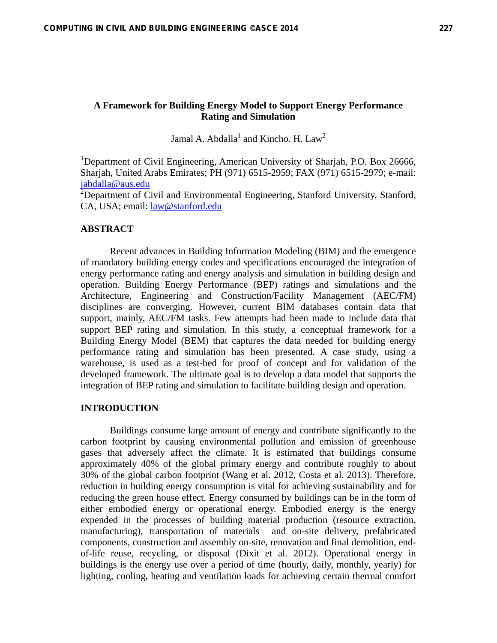# **A Framework for Building Energy Model to Support Energy Performance Rating and Simulation**

Jamal A. Abdalla<sup>1</sup> and Kincho. H. Law<sup>2</sup>

<sup>1</sup>Department of Civil Engineering, American University of Sharjah, P.O. Box 26666, Sharjah, United Arabs Emirates; PH (971) 6515-2959; FAX (971) 6515-2979; e-mail: jabdalla@aus.edu 2

Department of Civil and Environmental Engineering, Stanford University, Stanford, CA, USA; email: law@stanford.edu

### **ABSTRACT**

Recent advances in Building Information Modeling (BIM) and the emergence of mandatory building energy codes and specifications encouraged the integration of energy performance rating and energy analysis and simulation in building design and operation. Building Energy Performance (BEP) ratings and simulations and the Architecture, Engineering and Construction/Facility Management (AEC/FM) disciplines are converging. However, current BIM databases contain data that support, mainly, AEC/FM tasks. Few attempts had been made to include data that support BEP rating and simulation. In this study, a conceptual framework for a Building Energy Model (BEM) that captures the data needed for building energy performance rating and simulation has been presented. A case study, using a warehouse, is used as a test-bed for proof of concept and for validation of the developed framework. The ultimate goal is to develop a data model that supports the integration of BEP rating and simulation to facilitate building design and operation.

## **INTRODUCTION**

Buildings consume large amount of energy and contribute significantly to the carbon footprint by causing environmental pollution and emission of greenhouse gases that adversely affect the climate. It is estimated that buildings consume approximately 40% of the global primary energy and contribute roughly to about 30% of the global carbon footprint (Wang et al. 2012, Costa et al. 2013). Therefore, reduction in building energy consumption is vital for achieving sustainability and for reducing the green house effect. Energy consumed by buildings can be in the form of either embodied energy or operational energy. Embodied energy is the energy expended in the processes of building material production (resource extraction, manufacturing), transportation of materials and on-site delivery, prefabricated components, construction and assembly on-site, renovation and final demolition, endof-life reuse, recycling, or disposal (Dixit et al. 2012). Operational energy in buildings is the energy use over a period of time (hourly, daily, monthly, yearly) for lighting, cooling, heating and ventilation loads for achieving certain thermal comfort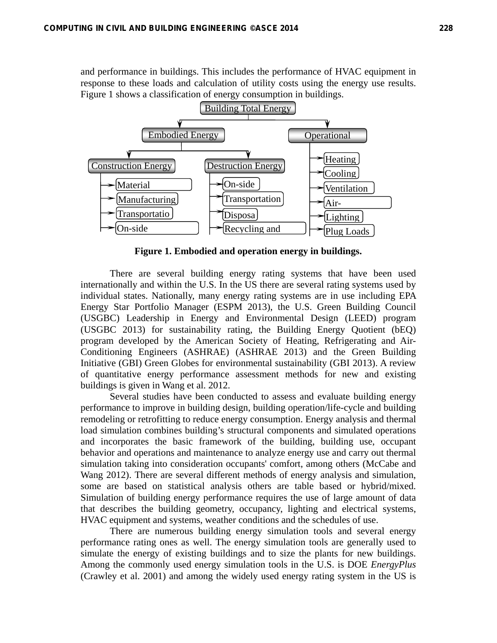and performance in buildings. This includes the performance of HVAC equipment in response to these loads and calculation of utility costs using the energy use results. Figure 1 shows a classification of energy consumption in buildings.



**Figure 1. Embodied and operation energy in buildings.** 

There are several building energy rating systems that have been used internationally and within the U.S. In the US there are several rating systems used by individual states. Nationally, many energy rating systems are in use including EPA Energy Star Portfolio Manager (ESPM 2013), the U.S. Green Building Council (USGBC) Leadership in Energy and Environmental Design (LEED) program (USGBC 2013) for sustainability rating, the Building Energy Quotient (bEQ) program developed by the American Society of Heating, Refrigerating and Air-Conditioning Engineers (ASHRAE) (ASHRAE 2013) and the Green Building Initiative (GBI) Green Globes for environmental sustainability (GBI 2013). A review of quantitative energy performance assessment methods for new and existing buildings is given in Wang et al. 2012.

Several studies have been conducted to assess and evaluate building energy performance to improve in building design, building operation/life-cycle and building remodeling or retrofitting to reduce energy consumption. Energy analysis and thermal load simulation combines building's structural components and simulated operations and incorporates the basic framework of the building, building use, occupant behavior and operations and maintenance to analyze energy use and carry out thermal simulation taking into consideration occupants' comfort, among others (McCabe and Wang 2012). There are several different methods of energy analysis and simulation, some are based on statistical analysis others are table based or hybrid/mixed. Simulation of building energy performance requires the use of large amount of data that describes the building geometry, occupancy, lighting and electrical systems, HVAC equipment and systems, weather conditions and the schedules of use.

There are numerous building energy simulation tools and several energy performance rating ones as well. The energy simulation tools are generally used to simulate the energy of existing buildings and to size the plants for new buildings. Among the commonly used energy simulation tools in the U.S. is DOE *EnergyPlus* (Crawley et al. 2001) and among the widely used energy rating system in the US is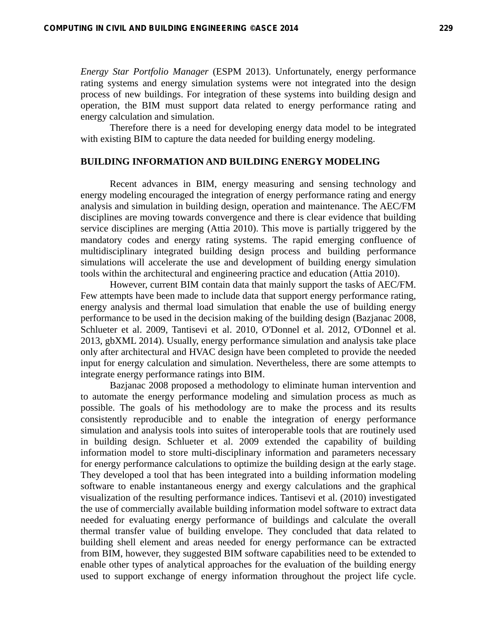*Energy Star Portfolio Manager* (ESPM 2013). Unfortunately, energy performance rating systems and energy simulation systems were not integrated into the design process of new buildings. For integration of these systems into building design and operation, the BIM must support data related to energy performance rating and energy calculation and simulation.

Therefore there is a need for developing energy data model to be integrated with existing BIM to capture the data needed for building energy modeling.

### **BUILDING INFORMATION AND BUILDING ENERGY MODELING**

Recent advances in BIM, energy measuring and sensing technology and energy modeling encouraged the integration of energy performance rating and energy analysis and simulation in building design, operation and maintenance. The AEC/FM disciplines are moving towards convergence and there is clear evidence that building service disciplines are merging (Attia 2010). This move is partially triggered by the mandatory codes and energy rating systems. The rapid emerging confluence of multidisciplinary integrated building design process and building performance simulations will accelerate the use and development of building energy simulation tools within the architectural and engineering practice and education (Attia 2010).

However, current BIM contain data that mainly support the tasks of AEC/FM. Few attempts have been made to include data that support energy performance rating, energy analysis and thermal load simulation that enable the use of building energy performance to be used in the decision making of the building design (Bazjanac 2008, Schlueter et al. 2009, Tantisevi et al. 2010, O'Donnel et al. 2012, O'Donnel et al. 2013, gbXML 2014). Usually, energy performance simulation and analysis take place only after architectural and HVAC design have been completed to provide the needed input for energy calculation and simulation. Nevertheless, there are some attempts to integrate energy performance ratings into BIM.

Bazjanac 2008 proposed a methodology to eliminate human intervention and to automate the energy performance modeling and simulation process as much as possible. The goals of his methodology are to make the process and its results consistently reproducible and to enable the integration of energy performance simulation and analysis tools into suites of interoperable tools that are routinely used in building design. Schlueter et al. 2009 extended the capability of building information model to store multi-disciplinary information and parameters necessary for energy performance calculations to optimize the building design at the early stage. They developed a tool that has been integrated into a building information modeling software to enable instantaneous energy and exergy calculations and the graphical visualization of the resulting performance indices. Tantisevi et al. (2010) investigated the use of commercially available building information model software to extract data needed for evaluating energy performance of buildings and calculate the overall thermal transfer value of building envelope. They concluded that data related to building shell element and areas needed for energy performance can be extracted from BIM, however, they suggested BIM software capabilities need to be extended to enable other types of analytical approaches for the evaluation of the building energy used to support exchange of energy information throughout the project life cycle.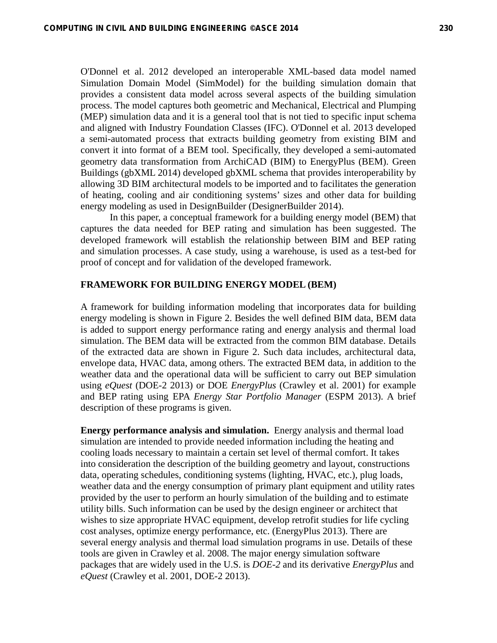O'Donnel et al. 2012 developed an interoperable XML-based data model named Simulation Domain Model (SimModel) for the building simulation domain that provides a consistent data model across several aspects of the building simulation process. The model captures both geometric and Mechanical, Electrical and Plumping (MEP) simulation data and it is a general tool that is not tied to specific input schema and aligned with Industry Foundation Classes (IFC). O'Donnel et al. 2013 developed a semi-automated process that extracts building geometry from existing BIM and convert it into format of a BEM tool. Specifically, they developed a semi-automated geometry data transformation from ArchiCAD (BIM) to EnergyPlus (BEM). Green Buildings (gbXML 2014) developed gbXML schema that provides interoperability by allowing 3D BIM architectural models to be imported and to facilitates the generation of heating, cooling and air conditioning systems' sizes and other data for building energy modeling as used in DesignBuilder (DesignerBuilder 2014).

In this paper, a conceptual framework for a building energy model (BEM) that captures the data needed for BEP rating and simulation has been suggested. The developed framework will establish the relationship between BIM and BEP rating and simulation processes. A case study, using a warehouse, is used as a test-bed for proof of concept and for validation of the developed framework.

#### **FRAMEWORK FOR BUILDING ENERGY MODEL (BEM)**

A framework for building information modeling that incorporates data for building energy modeling is shown in Figure 2. Besides the well defined BIM data, BEM data is added to support energy performance rating and energy analysis and thermal load simulation. The BEM data will be extracted from the common BIM database. Details of the extracted data are shown in Figure 2. Such data includes, architectural data, envelope data, HVAC data, among others. The extracted BEM data, in addition to the weather data and the operational data will be sufficient to carry out BEP simulation using *eQuest* (DOE-2 2013) or DOE *EnergyPlus* (Crawley et al. 2001) for example and BEP rating using EPA *Energy Star Portfolio Manager* (ESPM 2013). A brief description of these programs is given.

**Energy performance analysis and simulation.** Energy analysis and thermal load simulation are intended to provide needed information including the heating and cooling loads necessary to maintain a certain set level of thermal comfort. It takes into consideration the description of the building geometry and layout, constructions data, operating schedules, conditioning systems (lighting, HVAC, etc.), plug loads, weather data and the energy consumption of primary plant equipment and utility rates provided by the user to perform an hourly simulation of the building and to estimate utility bills. Such information can be used by the design engineer or architect that wishes to size appropriate HVAC equipment, develop retrofit studies for life cycling cost analyses, optimize energy performance, etc. (EnergyPlus 2013). There are several energy analysis and thermal load simulation programs in use. Details of these tools are given in Crawley et al. 2008. The major energy simulation software packages that are widely used in the U.S. is *DOE-2* and its derivative *EnergyPlus* and *eQuest* (Crawley et al. 2001, DOE-2 2013).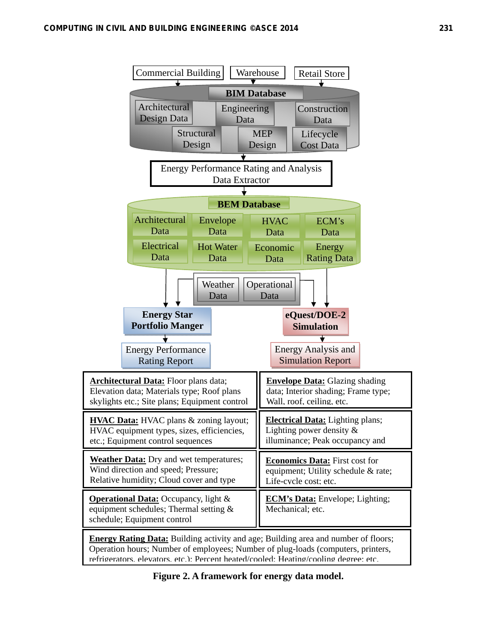

**Figure 2. A framework for energy data model.**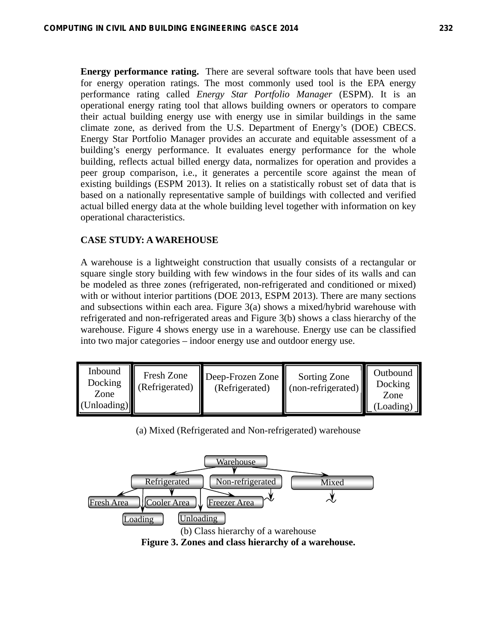**Energy performance rating.** There are several software tools that have been used for energy operation ratings. The most commonly used tool is the EPA energy performance rating called *Energy Star Portfolio Manager* (ESPM). It is an operational energy rating tool that allows building owners or operators to compare their actual building energy use with energy use in similar buildings in the same climate zone, as derived from the U.S. Department of Energy's (DOE) CBECS. Energy Star Portfolio Manager provides an accurate and equitable assessment of a building's energy performance. It evaluates energy performance for the whole building, reflects actual billed energy data, normalizes for operation and provides a peer group comparison, i.e., it generates a percentile score against the mean of existing buildings (ESPM 2013). It relies on a statistically robust set of data that is based on a nationally representative sample of buildings with collected and verified actual billed energy data at the whole building level together with information on key operational characteristics.

# **CASE STUDY: A WAREHOUSE**

A warehouse is a lightweight construction that usually consists of a rectangular or square single story building with few windows in the four sides of its walls and can be modeled as three zones (refrigerated, non-refrigerated and conditioned or mixed) with or without interior partitions (DOE 2013, ESPM 2013). There are many sections and subsections within each area. Figure 3(a) shows a mixed/hybrid warehouse with refrigerated and non-refrigerated areas and Figure 3(b) shows a class hierarchy of the warehouse. Figure 4 shows energy use in a warehouse. Energy use can be classified into two major categories – indoor energy use and outdoor energy use.

| Inbound<br>Docking<br>Zone<br>(Unloading) | Fresh Zone<br>(Refrigerated) | Deep-Frozen Zone<br>(Refrigerated) | Sorting Zone<br>$\vert$ (non-refrigerated) $\vert$ | Outbound<br>Docking<br>Zone<br>(Loading) |
|-------------------------------------------|------------------------------|------------------------------------|----------------------------------------------------|------------------------------------------|
|-------------------------------------------|------------------------------|------------------------------------|----------------------------------------------------|------------------------------------------|

(a) Mixed (Refrigerated and Non-refrigerated) warehouse



**Figure 3. Zones and class hierarchy of a warehouse.**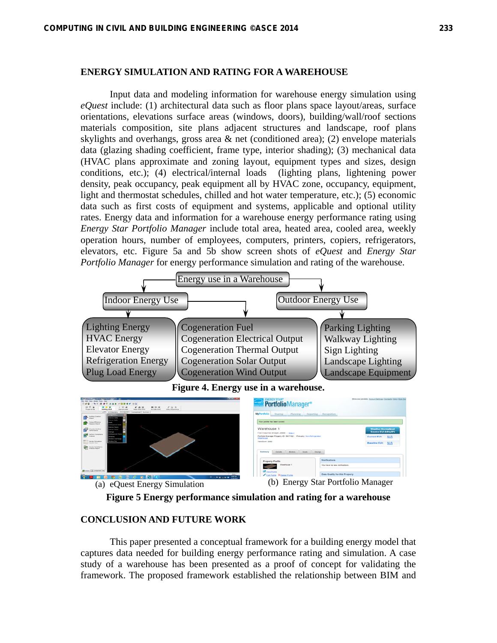#### **ENERGY SIMULATION AND RATING FOR A WAREHOUSE**

Input data and modeling information for warehouse energy simulation using *eQuest* include: (1) architectural data such as floor plans space layout/areas, surface orientations, elevations surface areas (windows, doors), building/wall/roof sections materials composition, site plans adjacent structures and landscape, roof plans skylights and overhangs, gross area  $\&$  net (conditioned area); (2) envelope materials data (glazing shading coefficient, frame type, interior shading); (3) mechanical data (HVAC plans approximate and zoning layout, equipment types and sizes, design conditions, etc.); (4) electrical/internal loads (lighting plans, lightening power density, peak occupancy, peak equipment all by HVAC zone, occupancy, equipment, light and thermostat schedules, chilled and hot water temperature, etc.); (5) economic data such as first costs of equipment and systems, applicable and optional utility rates. Energy data and information for a warehouse energy performance rating using *Energy Star Portfolio Manager* include total area, heated area, cooled area, weekly operation hours, number of employees, computers, printers, copiers, refrigerators, elevators, etc. Figure 5a and 5b show screen shots of *eQuest* and *Energy Star Portfolio Manager* for energy performance simulation and rating of the warehouse.





**Figure 5 Energy performance simulation and rating for a warehouse** 

# **CONCLUSION AND FUTURE WORK**

This paper presented a conceptual framework for a building energy model that captures data needed for building energy performance rating and simulation. A case study of a warehouse has been presented as a proof of concept for validating the framework. The proposed framework established the relationship between BIM and